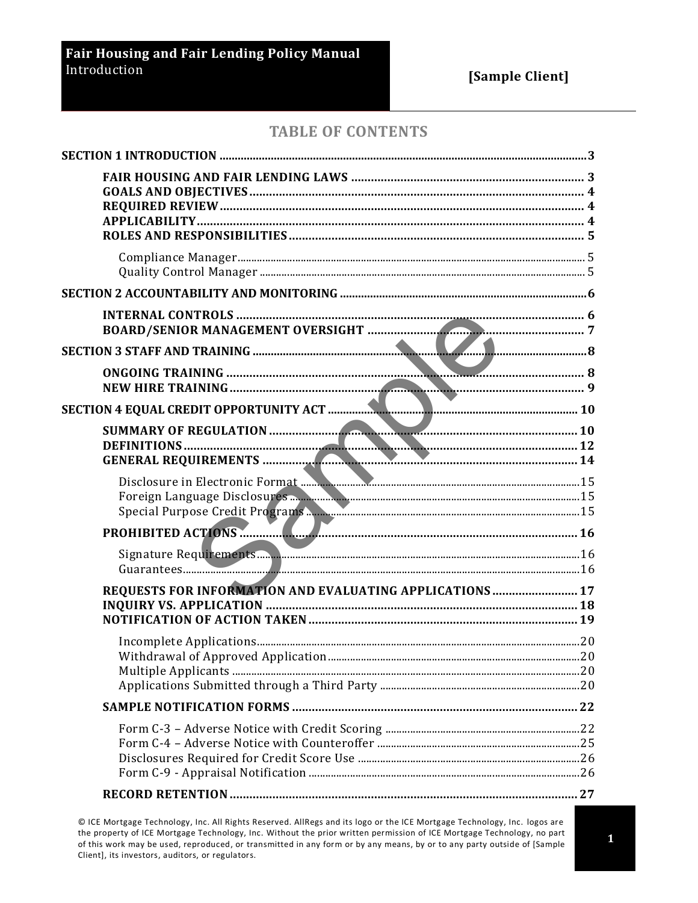### **TABLE OF CONTENTS**

| REQUESTS FOR INFORMATION AND EVALUATING APPLICATIONS  17 |  |
|----------------------------------------------------------|--|
|                                                          |  |
|                                                          |  |
|                                                          |  |
|                                                          |  |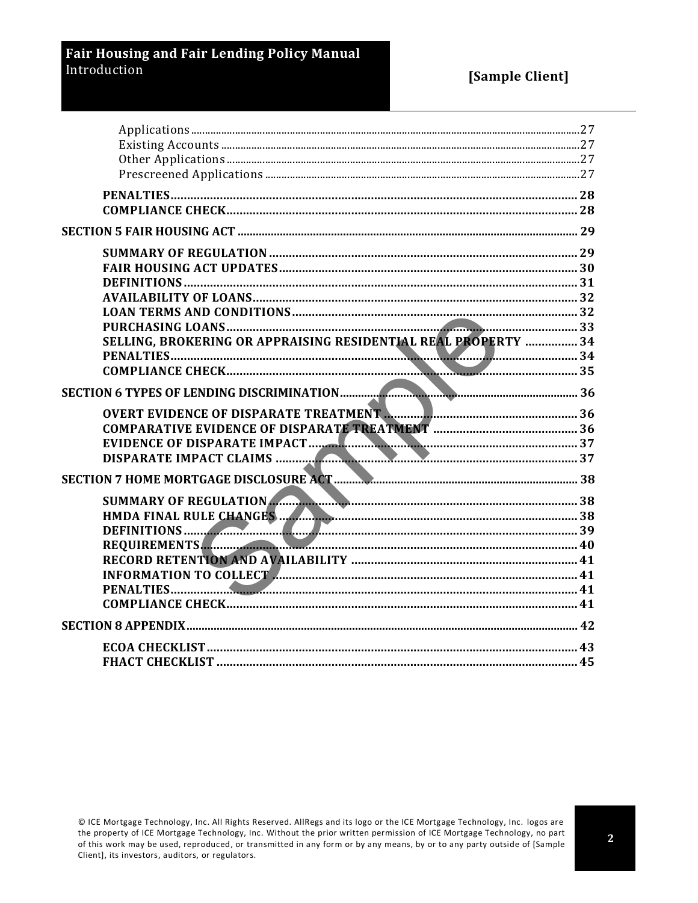### **Fair Housing and Fair Lending Policy Manual** Introduction

| SELLING, BROKERING OR APPRAISING RESIDENTIAL REAL PROPERTY  34                 |  |
|--------------------------------------------------------------------------------|--|
|                                                                                |  |
|                                                                                |  |
|                                                                                |  |
| OVERT EVIDENCE OF DISPARATE TREATMENT <b>A. 2000 PRIMERIE AND EXAMPLE 2018</b> |  |
|                                                                                |  |
|                                                                                |  |
|                                                                                |  |
|                                                                                |  |
|                                                                                |  |
|                                                                                |  |
|                                                                                |  |
|                                                                                |  |
|                                                                                |  |
|                                                                                |  |
|                                                                                |  |
|                                                                                |  |
|                                                                                |  |
|                                                                                |  |
|                                                                                |  |
|                                                                                |  |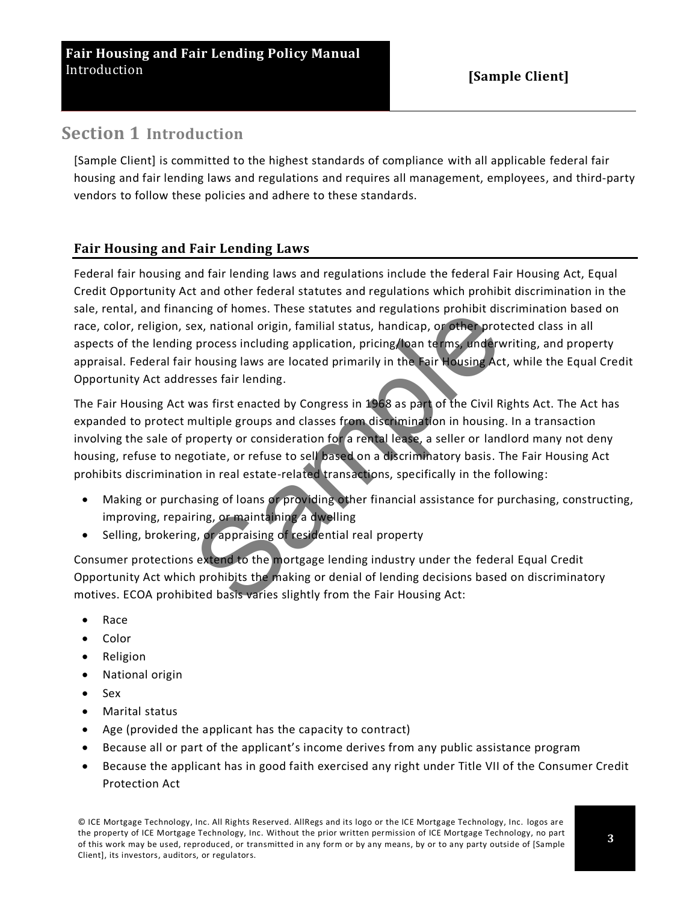# <span id="page-2-0"></span>**Section 1 Introduction**

[Sample Client] is committed to the highest standards of compliance with all applicable federal fair housing and fair lending laws and regulations and requires all management, employees, and third-party vendors to follow these policies and adhere to these standards.

### <span id="page-2-1"></span>**Fair Housing and Fair Lending Laws**

Federal fair housing and fair lending laws and regulations include the federal Fair Housing Act, Equal Credit Opportunity Act and other federal statutes and regulations which prohibit discrimination in the sale, rental, and financing of homes. These statutes and regulations prohibit discrimination based on race, color, religion, sex, national origin, familial status, handicap, or other protected class in all aspects of the lending process including application, pricing/loan terms, underwriting, and property appraisal. Federal fair housing laws are located primarily in the Fair Housing Act, while the Equal Credit Opportunity Act addresses fair lending.

The Fair Housing Act was first enacted by Congress in 1968 as part of the Civil Rights Act. The Act has expanded to protect multiple groups and classes from discrimination in housing. In a transaction involving the sale of property or consideration for a rental lease, a seller or landlord many not deny housing, refuse to negotiate, or refuse to sell based on a discriminatory basis. The Fair Housing Act prohibits discrimination in real estate-related transactions, specifically in the following: cing of nomes. These statutes and regulations promoti disex, national origin, familial status, handicap, or other prot<br>process including application, pricing/toan terms, underwhousing laws are located primarily in the Fair

- Making or purchasing of loans or providing other financial assistance for purchasing, constructing, improving, repairing, or maintaining a dwelling
- Selling, brokering, or appraising of residential real property

Consumer protections extend to the mortgage lending industry under the federal Equal Credit Opportunity Act which prohibits the making or denial of lending decisions based on discriminatory motives. ECOA prohibited basis varies slightly from the Fair Housing Act:

- Race
- Color
- Religion
- National origin
- Sex
- Marital status
- Age (provided the applicant has the capacity to contract)
- Because all or part of the applicant's income derives from any public assistance program
- Because the applicant has in good faith exercised any right under Title VII of the Consumer Credit Protection Act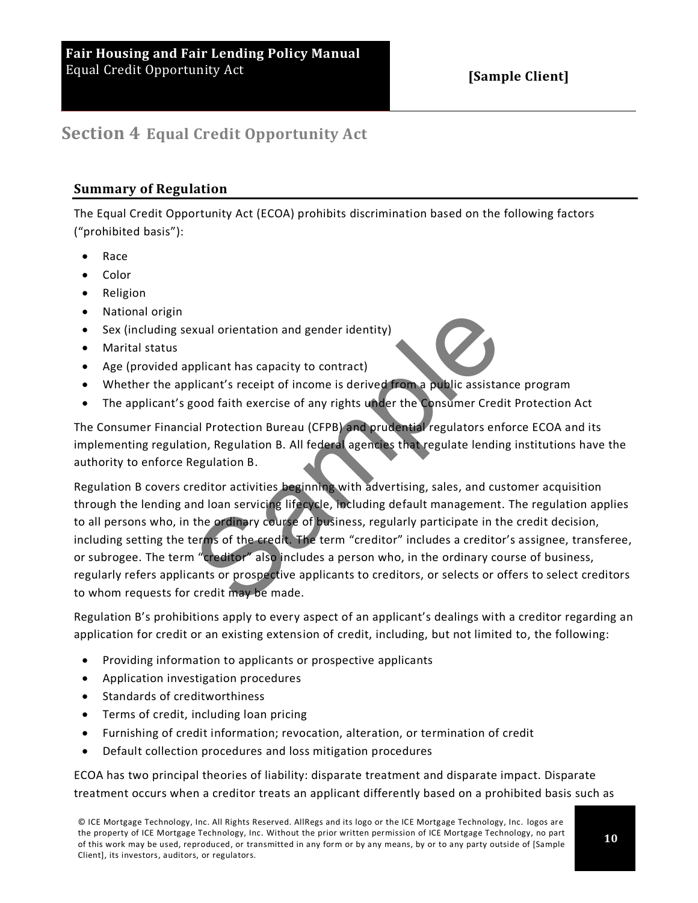# <span id="page-3-1"></span><span id="page-3-0"></span>**Section 4 Equal Credit Opportunity Act**

### **Summary of Regulation**

The Equal Credit Opportunity Act (ECOA) prohibits discrimination based on the following factors ("prohibited basis"):

- Race
- Color
- Religion
- National origin
- Sex (including sexual orientation and gender identity)
- Marital status
- Age (provided applicant has capacity to contract)
- Whether the applicant's receipt of income is derived from a public assistance program
- The applicant's good faith exercise of any rights under the Consumer Credit Protection Act

The Consumer Financial Protection Bureau (CFPB) and prudential regulators enforce ECOA and its implementing regulation, Regulation B. All federal agencies that regulate lending institutions have the authority to enforce Regulation B.

Regulation B covers creditor activities beginning with advertising, sales, and customer acquisition through the lending and loan servicing lifecycle, including default management. The regulation applies to all persons who, in the ordinary course of business, regularly participate in the credit decision, including setting the terms of the credit. The term "creditor" includes a creditor's assignee, transferee, or subrogee. The term "creditor" also includes a person who, in the ordinary course of business, regularly refers applicants or prospective applicants to creditors, or selects or offers to select creditors to whom requests for credit may be made. Example in this capacity to contract)<br>plicant has capacity to contract)<br>plicant's receipt of income is derived from a public assistar<br>good faith exercise of any rights under the Consumer Cred<br>ial Protection Bureau (CFPB) a

Regulation B's prohibitions apply to every aspect of an applicant's dealings with a creditor regarding an application for credit or an existing extension of credit, including, but not limited to, the following:

- Providing information to applicants or prospective applicants
- Application investigation procedures
- Standards of creditworthiness
- Terms of credit, including loan pricing
- Furnishing of credit information; revocation, alteration, or termination of credit
- Default collection procedures and loss mitigation procedures

ECOA has two principal theories of liability: disparate treatment and disparate impact. Disparate treatment occurs when a creditor treats an applicant differently based on a prohibited basis such as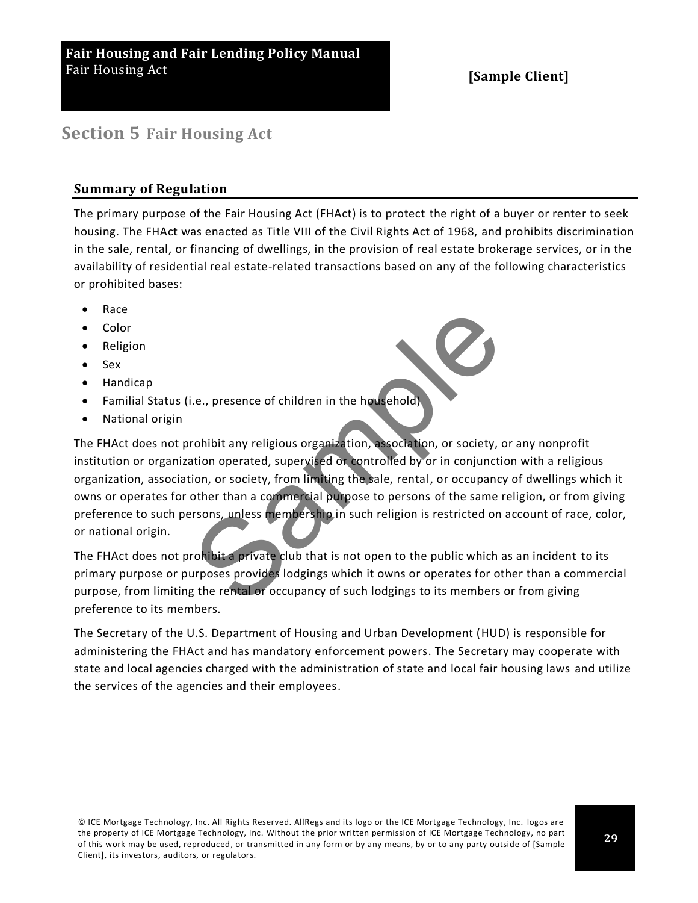# <span id="page-4-1"></span><span id="page-4-0"></span>**Section 5 Fair Housing Act**

### **Summary of Regulation**

The primary purpose of the Fair Housing Act (FHAct) is to protect the right of a buyer or renter to seek housing. The FHAct was enacted as Title VIII of the Civil Rights Act of 1968, and prohibits discrimination in the sale, rental, or financing of dwellings, in the provision of real estate brokerage services, or in the availability of residential real estate-related transactions based on any of the following characteristics or prohibited bases:

- Race
- Color
- Religion
- Sex
- Handicap
- Familial Status (i.e., presence of children in the household)
- National origin

The FHAct does not prohibit any religious organization, association, or society, or any nonprofit institution or organization operated, supervised or controlled by or in conjunction with a religious organization, association, or society, from limiting the sale, rental, or occupancy of dwellings which it owns or operates for other than a commercial purpose to persons of the same religion, or from giving preference to such persons, unless membership in such religion is restricted on account of race, color, or national origin. Example 10 and the household)<br>
Sample 1. The household control and the household of the household of the household of controlled by or in conjunction, or society, from limiting the sale, rental, or occupancy<br>
other than a

The FHAct does not prohibit a private club that is not open to the public which as an incident to its primary purpose or purposes provides lodgings which it owns or operates for other than a commercial purpose, from limiting the rental or occupancy of such lodgings to its members or from giving preference to its members.

The Secretary of the U.S. Department of Housing and Urban Development (HUD) is responsible for administering the FHAct and has mandatory enforcement powers. The Secretary may cooperate with state and local agencies charged with the administration of state and local fair housing laws and utilize the services of the agencies and their employees.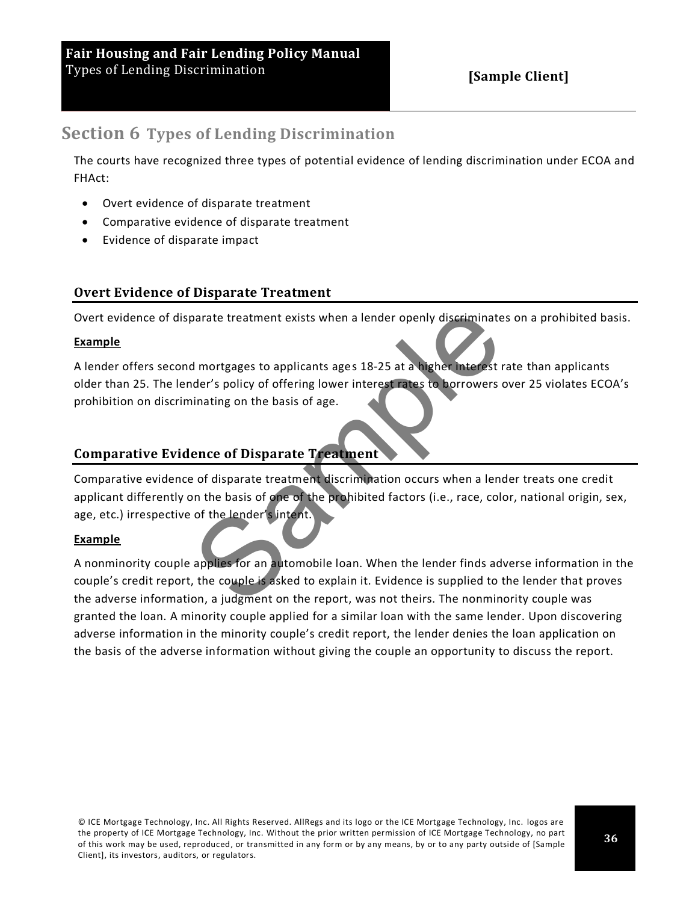## <span id="page-5-0"></span>**Section 6 Types of Lending Discrimination**

The courts have recognized three types of potential evidence of lending discrimination under ECOA and FHAct:

- Overt evidence of disparate treatment
- Comparative evidence of disparate treatment
- Evidence of disparate impact

### <span id="page-5-1"></span>**Overt Evidence of Disparate Treatment**

Overt evidence of disparate treatment exists when a lender openly discriminates on a prohibited basis.

#### **Example**

A lender offers second mortgages to applicants ages 18-25 at a higher interest rate than applicants older than 25. The lender's policy of offering lower interest rates to borrowers over 25 violates ECOA's prohibition on discriminating on the basis of age.

### <span id="page-5-2"></span>**Comparative Evidence of Disparate Treatment**

Comparative evidence of disparate treatment discrimination occurs when a lender treats one credit applicant differently on the basis of one of the prohibited factors (i.e., race, color, national origin, sex, age, etc.) irrespective of the lender's intent.

#### **Example**

A nonminority couple applies for an automobile loan. When the lender finds adverse information in the couple's credit report, the couple is asked to explain it. Evidence is supplied to the lender that proves the adverse information, a judgment on the report, was not theirs. The nonminority couple was granted the loan. A minority couple applied for a similar loan with the same lender. Upon discovering adverse information in the minority couple's credit report, the lender denies the loan application on the basis of the adverse information without giving the couple an opportunity to discuss the report. parate treatment exists when a lender openly discriminate<br>
d mortgages to applicants ages 18-25 at a higher interest rates<br>
dder's policy of offering lower interest rates to borrowers of<br>
inating on the basis of age.<br> **enc**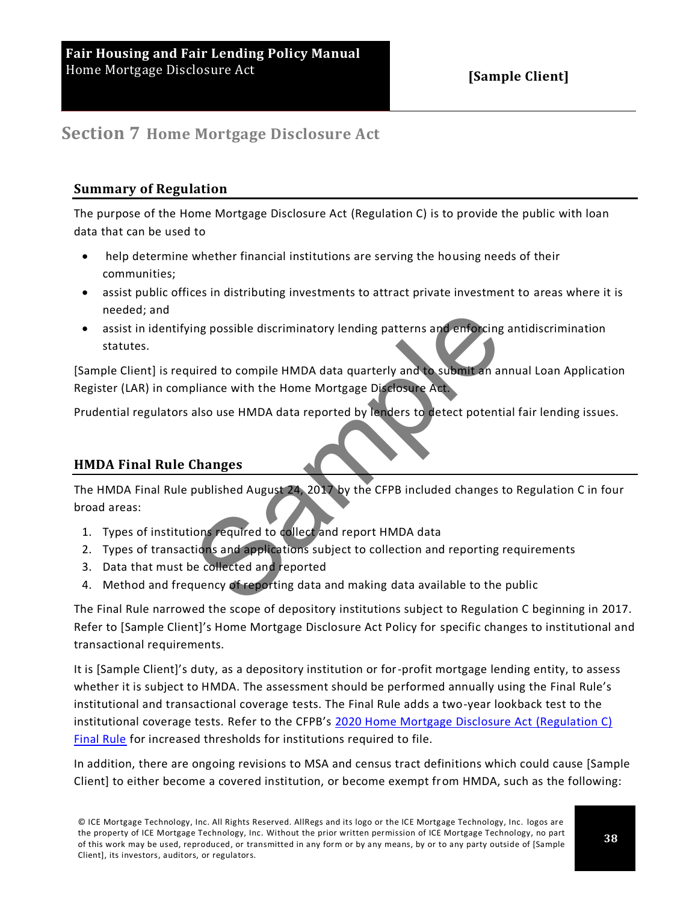# <span id="page-6-1"></span><span id="page-6-0"></span>**Section 7 Home Mortgage Disclosure Act**

### **Summary of Regulation**

The purpose of the Home Mortgage Disclosure Act (Regulation C) is to provide the public with loan data that can be used to

- help determine whether financial institutions are serving the housing needs of their communities;
- assist public offices in distributing investments to attract private investment to areas where it is needed; and
- assist in identifying possible discriminatory lending patterns and enforcing antidiscrimination statutes. ing possible discriminatory lending patterns and enforcing<br>uired to compile HMDA data quarterly and to submit an an<br>pliance with the Home Mortgage Disclosure Act<br>also use HMDA data reported by lenders to detect potenti<br>cha

[Sample Client] is required to compile HMDA data quarterly and to submit an annual Loan Application Register (LAR) in compliance with the Home Mortgage Disclosure Act.

<span id="page-6-2"></span>Prudential regulators also use HMDA data reported by lenders to detect potential fair lending issues.

#### **HMDA Final Rule Changes**

The HMDA Final Rule published August 24, 2017 by the CFPB included changes to Regulation C in four broad areas:

- 1. Types of institutions required to collect and report HMDA data
- 2. Types of transactions and applications subject to collection and reporting requirements
- 3. Data that must be collected and reported
- 4. Method and frequency of reporting data and making data available to the public

The Final Rule narrowed the scope of depository institutions subject to Regulation C beginning in 2017. Refer to [Sample Client]'s Home Mortgage Disclosure Act Policy for specific changes to institutional and transactional requirements.

It is [Sample Client]'s duty, as a depository institution or for-profit mortgage lending entity, to assess whether it is subject to HMDA. The assessment should be performed annually using the Final Rule's institutional and transactional coverage tests. The Final Rule adds a two-year lookback test to the institutional coverage tests. Refer to the CFPB's [2020 Home Mortgage Disclosure Act \(Regulation C\)](https://files.consumerfinance.gov/f/documents/cfpb_hmda_executive-summary_2020-04.pdf)  [Final Rule](https://files.consumerfinance.gov/f/documents/cfpb_hmda_executive-summary_2020-04.pdf) for increased thresholds for institutions required to file.

In addition, there are ongoing revisions to MSA and census tract definitions which could cause [Sample Client] to either become a covered institution, or become exempt from HMDA, such as the following: